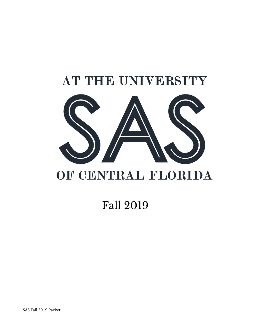

# OF CENTRAL FLORIDA

## Fall 2019

SAS Fall 2019 Packet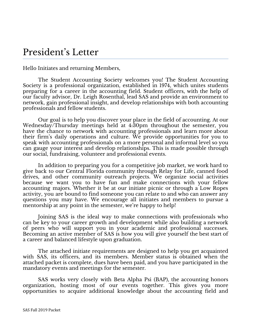### President' s Letter

Hello Initiates and returning Members,

The Student Accounting Society welcomes you! The Student Accounting Society is a professional organization, established in 1974, which unites students preparing for a career in the accounting field. Student officers, with the help of our faculty advisor, Dr. Leigh Rosenthal, lead SAS and provide an environment to network, gain professional insight, and develop relationships with both accounting professionals and fellow students.

Our goal is to help you discover your place in the field of accounting. At our Wednesday/Thursday meetings held at 4:30pm throughout the semester, you have the chance to network with accounting professionals and learn more about their firm's daily operations and culture. We provide opportunities for you to speak with accounting professionals on a more personal and informal level so you can gauge your interest and develop relationships. This is made possible through our social, fundraising, volunteer and professional events.

In addition to preparing you for a competitive job market, we work hard to give back to our Central Florida community through Relay for Life, canned food drives, and other community outreach projects. We organize social activities because we want you to have fun and make connections with your fellow accounting majors. Whether it be at our initiate picnic or through a Low Ropes activity, you are bound to find someone you can relate to and who can answer any questions you may have. We encourage all initiates and members to pursue a mentorship at any point in the semester, we're happy to help!

Joining SAS is the ideal way to make connections with professionals who can be key to your career growth and development while also building a network of peers who will support you in your academic and professional successes. Becoming an active member of SAS is how you will give yourself the best start of a career and balanced lifestyle upon graduation.

The attached initiate requirements are designed to help you get acquainted with SAS, its officers, and its members. Member status is obtained when the attached packet is complete, dues have been paid, and you have participated in the mandatory events and meetings for the semester.

SAS works very closely with Beta Alpha Psi (BAP), the accounting honors organization, hosting most of our events together. This gives you more opportunities to acquire additional knowledge about the accounting field and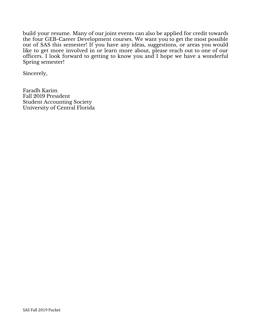build your resume. Many of our joint events can also be applied for credit towards the four GEB-Career Development courses. We want you to get the most possible out of SAS this semester! If you have any ideas, suggestions, or areas you would like to get more involved in or learn more about, please reach out to one of our officers. I look forward to getting to know you and I hope we have a wonderful Spring semester!

Sincerely,

Faradh Karim Fall 2019 President Student Accounting Society University of Central Florida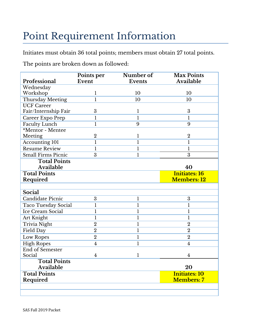# Point Requirement Information

Initiates must obtain 36 total points; members must obtain 27 total points.

The points are broken down as followed:

| Professional              | Points per<br>Event | Number of<br><b>Events</b> | <b>Max Points</b><br>Available |
|---------------------------|---------------------|----------------------------|--------------------------------|
| Wednesday                 |                     |                            |                                |
| Workshop                  | 1                   | 10                         | 10                             |
| Thursday Meeting          | $\mathbf{1}$        | 10                         | 10                             |
| <b>UCF Career</b>         |                     |                            |                                |
| Fair/Internship Fair      | 3                   | 1                          | 3                              |
| Career Expo Prep          | $\mathbf{1}$        | $\mathbf{1}$               | $\mathbf{1}$                   |
| <b>Faculty Lunch</b>      | $\mathbf{1}$        | 9                          | 9                              |
| *Mentor - Mentee          |                     |                            |                                |
| Meeting                   | $\overline{2}$      | 1                          | $\overline{2}$                 |
| <b>Accounting 101</b>     | $\mathbf{1}$        | $\mathbf{1}$               | $\mathbf{1}$                   |
| <b>Resume Review</b>      | $\mathbf{1}$        | 1                          | $\mathbf{l}$                   |
| <b>Small Firms Picnic</b> | 3                   | $\mathbf{l}$               | $\overline{3}$                 |
| <b>Total Points</b>       |                     |                            |                                |
| Available                 |                     |                            | 40                             |
| <b>Total Points</b>       |                     |                            | <b>Initiates: 16</b>           |
| Required                  |                     |                            | <b>Members: 12</b>             |
|                           |                     |                            |                                |
| Social                    |                     |                            |                                |
| <b>Candidate Picnic</b>   | 3                   | 1                          | 3                              |
| Taco Tuesday Social       | l                   | 1                          | $\mathbf{1}$                   |
| Ice Cream Social          | $\mathbf{1}$        | $\mathbf{l}$               | $\mathbf{1}$                   |
| Art Knight                | $\mathbf{1}$        | 1                          | $\mathbf{1}$                   |
| Trivia Night              | $\overline{2}$      | $\mathbf{l}$               | $\overline{2}$                 |
| Field Day                 | $\overline{2}$      | $\mathbf{l}$               | $\overline{2}$                 |
| Low Ropes                 | $\overline{2}$      | $\mathbf 1$                | $\overline{2}$                 |
| <b>High Ropes</b>         | $\overline{4}$      | $\mathbf{l}$               | $\overline{4}$                 |
| End of Semester           |                     |                            |                                |
| Social                    | $\overline{4}$      | 1                          | 4                              |
| <b>Total Points</b>       |                     |                            |                                |
| Available                 |                     |                            | 20                             |
| <b>Total Points</b>       |                     |                            | <b>Initiates: 10</b>           |
| Required                  |                     |                            | <b>Members: 7</b>              |
|                           |                     |                            |                                |
|                           |                     |                            |                                |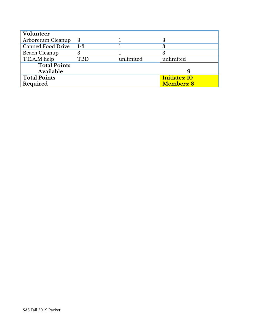| Volunteer           |         |           |                      |
|---------------------|---------|-----------|----------------------|
| Arboretum Cleanup   | 3       |           | 3                    |
| Canned Food Drive   | $1 - 3$ |           | 3                    |
| Beach Cleanup       |         |           | 3                    |
| T.E.A.M help        | TBD     | unlimited | unlimited            |
| <b>Total Points</b> |         |           |                      |
| Available           |         |           |                      |
| <b>Total Points</b> |         |           | <b>Initiates: 10</b> |
| Required            |         |           | <b>Members: 8</b>    |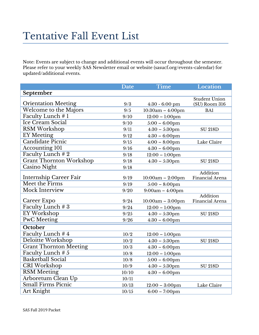# Tentative Fall Event List

Note: Events are subject to change and additional events will occur throughout the semester. Please refer to your weekly SAS Newsletter email or website (sasucf.org/events-calendar) for updated/additional events.

|                                | Date  | <b>Time</b>        | <b>Location</b>                       |
|--------------------------------|-------|--------------------|---------------------------------------|
| September                      |       |                    |                                       |
| <b>Orientation Meeting</b>     | 9/3   | $4:30 - 6:00$ pm   | <b>Student Union</b><br>(SU) Room 316 |
| Welcome to the Majors          | 9/5   | $10:30am - 4:00pm$ | BA1                                   |
| Faculty Lunch #1               | 9/10  | $12:00 - 1:00$ pm  |                                       |
| Ice Cream Social               | 9/10  | $5:00 - 6:00$ pm   |                                       |
| RSM Workshop                   | 9/11  | $4:30 - 5:30$ pm   | <b>SU 218D</b>                        |
| <b>EY</b> Meeting              | 9/12  | $4:30 - 6:00$ pm   |                                       |
| Candidate Picnic               | 9/15  | $4:00 - 8:00$ pm   | Lake Claire                           |
| <b>Accounting 101</b>          | 9/16  | $4:30 - 6:00$ pm   |                                       |
| Faculty Lunch #2               | 9/18  | $12:00 - 1:00$ pm  |                                       |
| <b>Grant Thornton Workshop</b> | 9/18  | $4:30 - 5:30$ pm   | <b>SU 218D</b>                        |
| Casino Night                   | 9/18  |                    |                                       |
| Internship Career Fair         | 9/19  | $10:00am - 2:00pm$ | <b>Addition</b><br>Financial Arena    |
| Meet the Firms                 | 9/19  | $5:00 - 8:00$ pm   |                                       |
| Mock Interview                 | 9/20  | $9:00am - 4:00pm$  |                                       |
| Career Expo                    | 9/24  | $10:00am - 3:00pm$ | <b>Addition</b><br>Financial Arena    |
| Faculty Lunch # 3              | 9/24  | $12:00 - 1:00$ pm  |                                       |
| EY Workshop                    | 9/25  | $4:30 - 5:30$ pm   | <b>SU 218D</b>                        |
| <b>PwC</b> Meeting             | 9/26  | $4:30 - 6:00$ pm   |                                       |
| October                        |       |                    |                                       |
| Faculty Lunch #4               | 10/2  | $12:00 - 1:00$ pm  |                                       |
| Deloitte Workshop              | 10/2  | $4:30 - 5:30$ pm   | <b>SU 218D</b>                        |
| <b>Grant Thornton Meeting</b>  | 10/3  | $4:30 - 6:00$ pm   |                                       |
| Faculty Lunch # 5              | 10/8  | $12:00 - 1:00$ pm  |                                       |
| <b>Basketball Social</b>       | 10/8  | $5:00 - 6:00$ pm   |                                       |
| <b>CRI</b> Workshop            | 10/9  | $4:30 - 5:30$ pm   | <b>SU 218D</b>                        |
| <b>RSM</b> Meeting             | 10/10 | $4:30 - 6:00$ pm   |                                       |
| Arboretum Clean Up             | 10/11 |                    |                                       |
| Small Firms Picnic             | 10/13 | $12:00 - 3:00$ pm  | Lake Claire                           |
| Art Knight                     | 10/15 | $6:00 - 7:00$ pm   |                                       |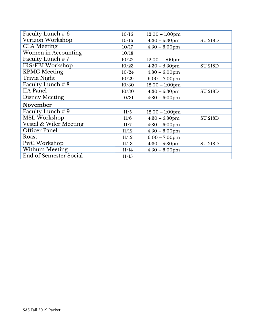| Faculty Lunch # 6      | 10/16 | $12:00 - 1:00$ pm       |                |
|------------------------|-------|-------------------------|----------------|
| Verizon Workshop       | 10/16 | $4:30 - 5:30$ pm        | <b>SU 218D</b> |
| <b>CLA</b> Meeting     | 10/17 | $4:30 - 6:00$ pm        |                |
| Women in Accounting    | 10/18 |                         |                |
| Faculty Lunch #7       | 10/22 | $12:00 - 1:00$ pm       |                |
| IRS/FBI Workshop       | 10/23 | $4:30 - 5:30$ pm        | <b>SU 218D</b> |
| <b>KPMG</b> Meeting    | 10/24 | $4:30 - 6:00$ pm        |                |
| Trivia Night           | 10/29 | $6:00 - 7:00$ pm        |                |
| Faculty Lunch # $8$    | 10/30 | $12:00 - 1:00$ pm       |                |
| <b>IIA</b> Panel       | 10/30 | $4:30 - 5:30$ pm        | <b>SU 218D</b> |
| Disney Meeting         | 10/31 | $4:30 - 6:00 \text{pm}$ |                |
| November               |       |                         |                |
| Faculty Lunch # 9      | 11/5  | $12:00 - 1:00$ pm       |                |
| <b>MSL Workshop</b>    | 11/6  | $4:30 - 5:30$ pm        | <b>SU 218D</b> |
| Vestal & Wiler Meeting | 11/7  | $4:30 - 6:00$ pm        |                |
| <b>Officer Panel</b>   | 11/12 | $4:30 - 6:00$ pm        |                |
| Roast                  | 11/12 | $6:00 - 7:00$ pm        |                |
| PwC Workshop           | 11/13 | $4:30 - 5:30$ pm        | <b>SU 218D</b> |
| <b>Withum Meeting</b>  | 11/14 | $4:30 - 6:00$ pm        |                |
| End of Semester Social | 11/15 |                         |                |
|                        |       |                         |                |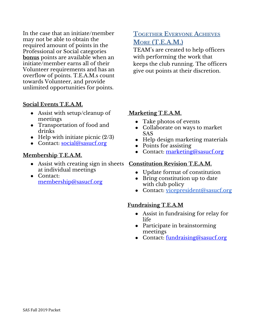In the case that an initiate/member may not be able to obtain the required amount of points in the Professional or Social categories **bonus** points are available when an initiate/member earns all of their Volunteer requirements and has an overflow of points. T.E.A.M.s count towards Volunteer, and provide unlimited opportunities for points.

#### **Social Events T.E.A.M.**

- Assist with setup/cleanup of meetings
- Transportation of food and drinks
- Help with initiate picnic  $(2/3)$
- Contact: [social@sasucf.org](mailto:social@sasucf.org)

#### **Membership T.E.A.M.**

- Assist with creating sign in sheets **Constitution Revision T.E.A.M.** at individual meetings
- Contact: [membership@sasucf.org](mailto:membership@sasucf.org)

### **TOGETHER EVERYONE ACHIEVES MORE (T.E.A.M.)**

TEAM's are created to help officers with performing the work that keeps the club running. The officers give out points at their discretion.

#### **Marketing T.E.A.M.**

- Take photos of events
- Collaborate on ways to market SAS
- Help design marketing materials
- Points for assisting
- Contact: [marketing@sasucf.org](mailto:marketing@sasucf.org)

- Update format of constitution
- Bring constitution up to date with club policy
- Contact: <u>[vicepresident@sasucf.org](mailto:vicepresident@sasucf.org)</u>

#### **Fundraising T.E.A.M**

- Assist in fundraising for relay for life
- Participate in brainstorming meetings
- Contact: [fundraising@sasucf.org](mailto:fundraising@sasucf.org)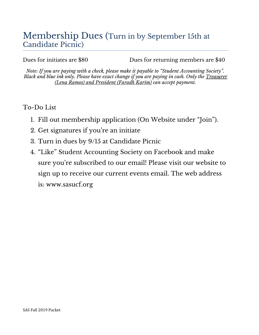### Membership Dues (Turn in by September 15th at Candidate Picnic)

Dues for initiates are \$80 Dues for returning members are \$40

*Note: If you are paying with a check, please make it payable to "Student Accounting Society". Black and blue ink only. Please have exact change if you are paying in cash. Only the Treasurer (Lena Ramos) and President (Faradh Karim) can accept payment.*

### To-Do List

- 1. Fill out membership application (On Website under "Join").
- 2. Get signatures if you're an initiate
- 3. Turn in dues by 9/15 at Candidate Picnic
- 4. "Like" Student Accounting Society on Facebook and make sure you're subscribed to our email! Please visit our website to sign up to receive our current events email. The web address is: www.sasucf.org